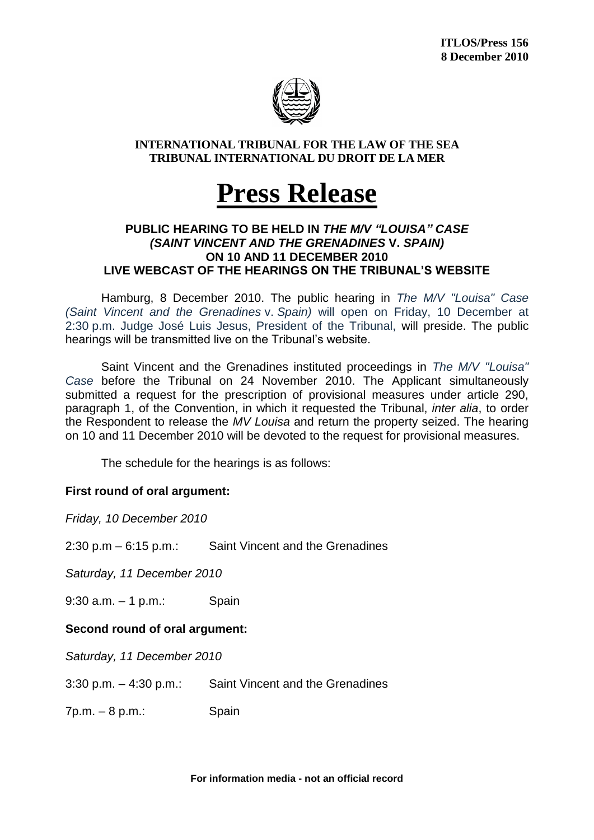

## **INTERNATIONAL TRIBUNAL FOR THE LAW OF THE SEA TRIBUNAL INTERNATIONAL DU DROIT DE LA MER**

# **Press Release**

## **PUBLIC HEARING TO BE HELD IN** *THE M/V "LOUISA" CASE (SAINT VINCENT AND THE GRENADINES* **V.** *SPAIN)*  **ON 10 AND 11 DECEMBER 2010 LIVE WEBCAST OF THE HEARINGS ON THE TRIBUNAL'S WEBSITE**

Hamburg, 8 December 2010. The public hearing in *The M/V "Louisa" Case (Saint Vincent and the Grenadines* v. *Spain)* will open on Friday, 10 December at 2:30 p.m. Judge José Luis Jesus, President of the Tribunal, will preside. The public hearings will be transmitted live on the Tribunal's website.

Saint Vincent and the Grenadines instituted proceedings in *The M/V "Louisa" Case* before the Tribunal on 24 November 2010. The Applicant simultaneously submitted a request for the prescription of provisional measures under article 290, paragraph 1, of the Convention, in which it requested the Tribunal, *inter alia*, to order the Respondent to release the *MV Louisa* and return the property seized. The hearing on 10 and 11 December 2010 will be devoted to the request for provisional measures.

The schedule for the hearings is as follows:

# **First round of oral argument:**

*Friday, 10 December 2010*

2:30 p.m – 6:15 p.m.: Saint Vincent and the Grenadines

*Saturday, 11 December 2010*

9:30 a.m. – 1 p.m.: Spain

# **Second round of oral argument:**

*Saturday, 11 December 2010*

3:30 p.m. – 4:30 p.m.: Saint Vincent and the Grenadines

7p.m. – 8 p.m.: Spain